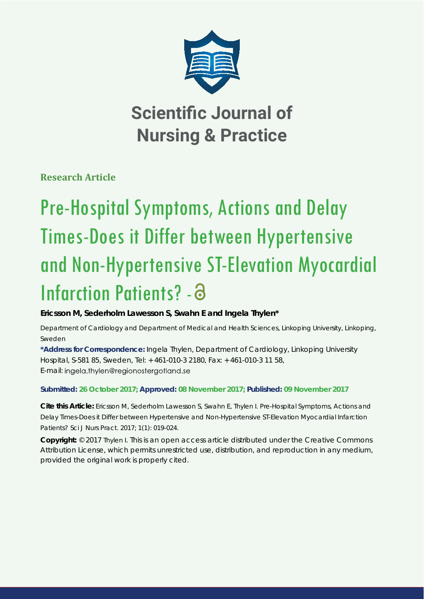

**Scientific Journal of Nursing & Practice**

**Research Article**

# Pre-Hospital Symptoms, Actions and Delay Times-Does it Differ between Hypertensive and Non-Hypertensive ST-Elevation Myocardial Infarction Patients? - a

**Ericsson M, Sederholm Lawesson S, Swahn E and Ingela Thylen\***

*Department of Cardiology and Department of Medical and Health Sciences, Linkoping University, Linkoping, Sweden*

**\*Address for Correspondence:** Ingela Thylen, Department of Cardiology, Linkoping University Hospital, S-581 85, Sweden, Tel: + 461-010-3 2180, Fax: + 461-010-3 11 58, E-mail: ingela.thylen@regionostergotland.se

**Submitted: 26 October 2017; Approved: 08 November 2017; Published: 09 November 2017**

**Cite this Article:** Ericsson M, Sederholm Lawesson S, Swahn E, Thylen I. Pre-Hospital Symptoms, Actions and Delay Times-Does it Differ between Hypertensive and Non-Hypertensive ST-Elevation Myocardial Infarction Patients? Sci J Nurs Pract. 2017; 1(1): 019-024.

**Copyright:** © 2017 Thylen I. This is an open access article distributed under the Creative Commons Attribution License, which permits unrestricted use, distribution, and reproduction in any medium, provided the original work is properly cited.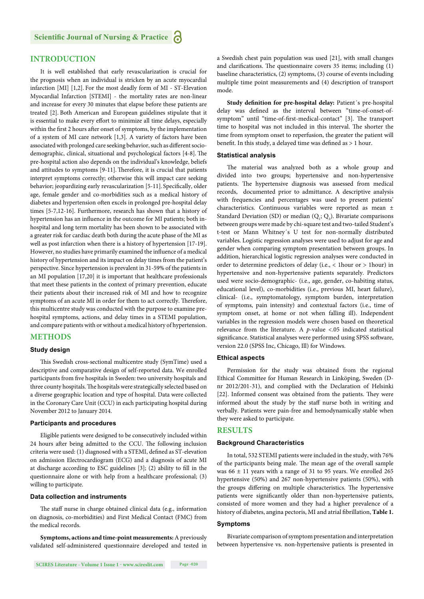# **INTRODUCTION**

It is well established that early revascularization is crucial for the prognosis when an individual is stricken by an acute myocardial infarction [MI] [1,2]. For the most deadly form of MI - ST-Elevation Myocardial Infarction [STEMI] - the mortality rates are non-linear and increase for every 30 minutes that elapse before these patients are treated [2]. Both American and European guidelines stipulate that it is essential to make every effort to minimize all time delays, especially within the first 2 hours after onset of symptoms, by the implementation of a system of MI care network [1,3]. A variety of factors have been associated with prolonged care seeking behavior, such as different sociodemographic, clinical, situational and psychological factors [4-8]. The pre-hospital action also depends on the individual's knowledge, beliefs and attitudes to symptoms [9-11]. Therefore, it is crucial that patients interpret symptoms correctly; otherwise this will impact care seeking behavior; jeopardizing early revascularization [5-11]. Specifically, older age, female gender and co-morbidities such as a medical history of diabetes and hypertension often excels in prolonged pre-hospital delay times [5-7,12-16]. Furthermore, research has shown that a history of hypertension has an influence in the outcome for MI patients; both inhospital and long term mortality has been shown to be associated with a greater risk for cardiac death both during the acute phase of the MI as well as post infarction when there is a history of hypertension [17-19]. However, no studies have primarily examined the influence of a medical history of hypertension and its impact on delay times from the patient's perspective. Since hypertension is prevalent in 31-59% of the patients in an MI population [17,20] it is important that healthcare professionals that meet these patients in the context of primary prevention, educate their patients about their increased risk of MI and how to recognize symptoms of an acute MI in order for them to act correctly. Therefore, this multicentre study was conducted with the purpose to examine prehospital symptoms, actions, and delay times in a STEMI population, and compare patients with or without a medical history of hypertension.

# **METHODS**

## **Study design**

This Swedish cross-sectional multicentre study (SymTime) used a descriptive and comparative design of self-reported data. We enrolled participants from five hospitals in Sweden: two university hospitals and three county hospitals. The hospitals were strategically selected based on a diverse geographic location and type of hospital. Data were collected in the Coronary Care Unit (CCU) in each participating hospital during November 2012 to January 2014.

## **Participants and procedures**

Eligible patients were designed to be consecutively included within 24 hours after being admitted to the CCU. The following inclusion criteria were used: (1) diagnosed with a STEMI, defined as ST-elevation on admission Electrocardiogram (ECG) and a diagnosis of acute MI at discharge according to ESC guidelines  $[3]$ ;  $(2)$  ability to fill in the questionnaire alone or with help from a healthcare professional; (3) willing to participate.

# **Data collection and instruments**

The staff nurse in charge obtained clinical data (e.g., information on diagnosis, co-morbidities) and First Medical Contact (FMC) from the medical records.

**Symptoms, actions and time-point measurements:** A previously validated self-administered questionnaire developed and tested in a Swedish chest pain population was used [21], with small changes and clarifications. The questionnaire covers 35 items; including (1) baseline characteristics, (2) symptoms, (3) course of events including multiple time point measurements and (4) description of transport mode.

Study definition for pre-hospital delay: Patient's pre-hospital delay was defined as the interval between "time-of-onset-ofsymptom" until "time-of-first-medical-contact" [3]. The transport time to hospital was not included in this interval. The shorter the time from symptom onset to reperfusion, the greater the patient will benefit. In this study, a delayed time was defined as  $> 1$  hour.

#### **Statistical analysis**

The material was analyzed both as a whole group and divided into two groups; hypertensive and non-hypertensive patients. The hypertensive diagnosis was assessed from medical records, documented prior to admittance. A descriptive analysis with frequencies and percentages was used to present patients' characteristics. Continuous variables were reported as mean ± Standard Deviation (SD) or median  $(Q_1; Q_3)$ . Bivariate comparisons between groups were made by chi-square test and two-tailed Student's t-test or Mann Whitney´s U test for non-normally distributed variables. Logistic regression analyses were used to adjust for age and gender when comparing symptom presentation between groups. In addition, hierarchical logistic regression analyses were conducted in order to determine predictors of delay (i.e., < 1hour or > 1hour) in hypertensive and non-hypertensive patients separately. Predictors used were socio-demographic- (i.e., age, gender, co-habiting status, educational level), co-morbidities (i.e., previous MI, heart failure), clinical- (i.e., symptomatology, symptom burden, interpretation of symptoms, pain intensity) and contextual factors (i.e., time of symptom onset, at home or not when falling ill). Independent variables in the regression models were chosen based on theoretical relevance from the literature. A *p*-value <.05 indicated statistical significance. Statistical analyses were performed using SPSS software, version 22.0 (SPSS Inc, Chicago, Ill) for Windows.

# **Ethical aspects**

Permission for the study was obtained from the regional Ethical Committee for Human Research in Linköping, Sweden (Dnr 2012/201-31), and complied with the Declaration of Helsinki [22]. Informed consent was obtained from the patients. They were informed about the study by the staff nurse both in writing and verbally. Patients were pain-free and hemodynamically stable when they were asked to participate.

## **RESULTS**

#### **Background Characteristics**

In total, 532 STEMI patients were included in the study, with 76% of the participants being male. The mean age of the overall sample was  $66 \pm 11$  years with a range of 31 to 95 years. We enrolled 265 hypertensive (50%) and 267 non-hypertensive patients (50%), with the groups differing on multiple characteristics. The hypertensive patients were significantly older than non-hypertensive patients, consisted of more women and they had a higher prevalence of a history of diabetes, angina pectoris, MI and atrial fibrillation, Table 1.

#### **Symptoms**

Bivariate comparison of symptom presentation and interpretation between hypertensive vs. non-hypertensive patients is presented in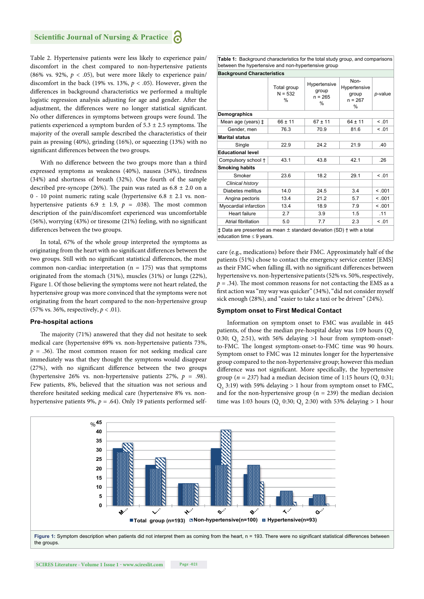Table 2. Hypertensive patients were less likely to experience pain/ discomfort in the chest compared to non-hypertensive patients (86% vs. 92%,  $p < .05$ ), but were more likely to experience pain/ discomfort in the back (19% vs. 13%,  $p < .05$ ). However, given the differences in background characteristics we performed a multiple logistic regression analysis adjusting for age and gender. After the adjustment, the differences were no longer statistical significant. No other differences in symptoms between groups were found. The patients experienced a symptom burden of  $5.3 \pm 2.5$  symptoms. The majority of the overall sample described the characteristics of their pain as pressing (40%), grinding (16%), or squeezing (13%) with no significant differences between the two groups.

With no difference between the two groups more than a third expressed symptoms as weakness (40%), nausea (34%), tiredness (34%) and shortness of breath (32%). One fourth of the sample described pre-syncope (26%). The pain was rated as  $6.8 \pm 2.0$  on a 0 - 10 point numeric rating scale (hypertensive 6.8 ± 2.1 vs. nonhypertensive patients  $6.9 \pm 1.9$ ,  $p = .038$ ). The most common description of the pain/discomfort experienced was uncomfortable (56%), worrying  $(43%)$  or tiresome  $(21%)$  feeling, with no significant differences between the two groups.

In total, 67% of the whole group interpreted the symptoms as originating from the heart with no significant differences between the two groups. Still with no significant statistical differences, the most common non-cardiac interpretation ( $n = 175$ ) was that symptoms originated from the stomach (31%), muscles (31%) or lungs (22%), Figure 1. Of those believing the symptoms were not heart related, the hypertensive group was more convinced that the symptoms were not originating from the heart compared to the non-hypertensive group (57% vs. 36%, respectively, *p* < .01).

#### **Pre-hospital actions**

The majority (71%) answered that they did not hesitate to seek medical care (hypertensive 69% vs. non-hypertensive patients 73%,  $p = .36$ ). The most common reason for not seeking medical care immediately was that they thought the symptoms would disappear  $(27%)$ , with no significant difference between the two groups (hypertensive 26% vs. non-hypertensive patients 27%, *p* = .98). Few patients, 8%, believed that the situation was not serious and therefore hesitated seeking medical care (hypertensive 8% vs. nonhypertensive patients 9%, *p* = .64). Only 19 patients performed self**Table 1:** Background characteristics for the total study group, and comparisons between the hypertensive and non-hypertensive group

| <b>Background Characteristics</b>                                                                                            |                               |                                                     |                                                    |         |  |  |  |
|------------------------------------------------------------------------------------------------------------------------------|-------------------------------|-----------------------------------------------------|----------------------------------------------------|---------|--|--|--|
|                                                                                                                              | Total group<br>$N = 532$<br>% | Hypertensive<br>group<br>$n = 265$<br>$\frac{0}{0}$ | Non-<br>Hypertensive<br>group<br>$n = 267$<br>$\%$ | p-value |  |  |  |
| Demographics                                                                                                                 |                               |                                                     |                                                    |         |  |  |  |
| Mean age (years) ‡                                                                                                           | $66 \pm 11$                   | $67 \pm 11$                                         | $64 \pm 11$                                        | < 0.01  |  |  |  |
| Gender, men                                                                                                                  | 76.3                          | 70.9                                                | 81.6                                               | < 0.01  |  |  |  |
| <b>Marital status</b>                                                                                                        |                               |                                                     |                                                    |         |  |  |  |
| Single                                                                                                                       | 22.9                          | 24.2                                                | 21.9                                               | .40     |  |  |  |
| <b>Educational level</b>                                                                                                     |                               |                                                     |                                                    |         |  |  |  |
| Compulsory school +                                                                                                          | 43.1                          | 43.8                                                | 42.1                                               | .26     |  |  |  |
| <b>Smoking habits</b>                                                                                                        |                               |                                                     |                                                    |         |  |  |  |
| Smoker                                                                                                                       | 23.6                          | 18.2                                                | 29.1                                               | < .01   |  |  |  |
| Clinical history                                                                                                             |                               |                                                     |                                                    |         |  |  |  |
| Diabetes mellitus                                                                                                            | 14.0                          | 24.5                                                | 3.4                                                | < 0.001 |  |  |  |
| Angina pectoris                                                                                                              | 13.4                          | 21.2                                                | 5.7                                                | < 0.001 |  |  |  |
| Myocardial infarction                                                                                                        | 13.4                          | 18.9                                                | 7.9                                                | < 0.01  |  |  |  |
| <b>Heart failure</b>                                                                                                         | 2.7                           | 3.9                                                 | 1.5                                                | .11     |  |  |  |
| Atrial fibrillation                                                                                                          | 5.0                           | 7.7                                                 | 2.3                                                | < 0.01  |  |  |  |
| $\ddagger$ Data are presented as mean $\pm$ standard deviation (SD) $\dagger$ with a total<br>education time $\leq 9$ years. |                               |                                                     |                                                    |         |  |  |  |

care (e.g., medications) before their FMC. Approximately half of the patients (51%) chose to contact the emergency service center [EMS] as their FMC when falling ill, with no significant differences between hypertensive vs. non-hypertensive patients (52% vs. 50%, respectively,  $p = .34$ ). The most common reasons for not contacting the EMS as a first action was "my way was quicker" (34%), "did not consider myself sick enough (28%), and "easier to take a taxi or be driven" (24%).

#### **Symptom onset to First Medical Contact**

Information on symptom onset to FMC was available in 445 patients, of those the median pre-hospital delay was 1:09 hours  $(Q<sub>1</sub>$ 0:30;  $Q_3$  2:51), with 56% delaying >1 hour from symptom-onsetto-FMC. The longest symptom-onset-to-FMC time was 90 hours. Symptom onset to FMC was 12 minutes longer for the hypertensive group compared to the non-hypertensive group; however this median difference was not significant. More specifically, the hypertensive group ( $n = 237$ ) had a median decision time of 1:15 hours ( $Q_1$  0:31;  $Q_3$  3:19) with 59% delaying > 1 hour from symptom onset to FMC, and for the non-hypertensive group ( $n = 239$ ) the median decision time was 1:03 hours ( $Q_1$  0:30;  $Q_3$  2:30) with 53% delaying > 1 hour

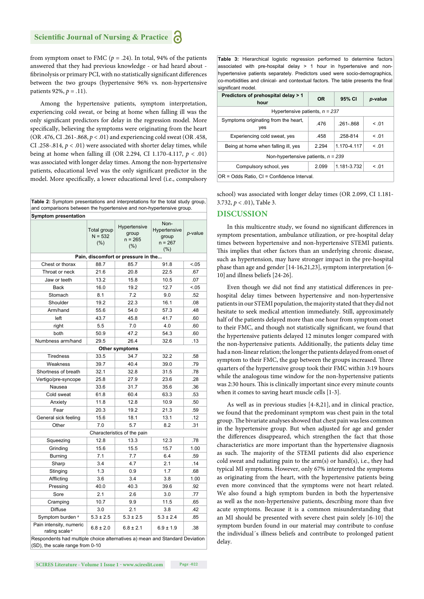from symptom onset to FMC ( $p = .24$ ). In total, 94% of the patients answered that they had previous knowledge - or had heard about fibrinolysis or primary PCI, with no statistically significant differences between the two groups (hypertensive 96% vs. non-hypertensive patients 92%, *p* = *.*11).

Among the hypertensive patients, symptom interpretation, experiencing cold sweat, or being at home when falling ill was the only significant predictors for delay in the regression model. More specifically, believing the symptoms were originating from the heart (OR .476, CI .261-.868, *p* < .01) and experiencing cold sweat (OR .458, CI .258-.814,  $p < .01$ ) were associated with shorter delay times, while being at home when falling ill (OR 2.294, CI 1.170-4.117, *p* < .01) was associated with longer delay times. Among the non-hypertensive patients, educational level was the only significant predictor in the model. More specifically, a lower educational level (i.e., compulsory

| Table 2: Symptom presentations and interpretations for the total study group,<br>and comparisons between the hypertensive and non-hypertensive group. |                                 |                                           |                                                       |         |  |  |  |  |
|-------------------------------------------------------------------------------------------------------------------------------------------------------|---------------------------------|-------------------------------------------|-------------------------------------------------------|---------|--|--|--|--|
| <b>Symptom presentation</b>                                                                                                                           |                                 |                                           |                                                       |         |  |  |  |  |
|                                                                                                                                                       | Total group<br>$N = 532$<br>(%) | Hypertensive<br>group<br>$n = 265$<br>(%) | Non-<br>Hypertensive<br>group<br>$n = 267$<br>$(\% )$ | p-value |  |  |  |  |
| Pain, discomfort or pressure in the                                                                                                                   |                                 |                                           |                                                       |         |  |  |  |  |
| Chest or thorax                                                                                                                                       | 88.7                            | 85.7                                      | 91.8                                                  | $-.05$  |  |  |  |  |
| Throat or neck                                                                                                                                        | 21.6                            | 20.8                                      | 22.5                                                  | .67     |  |  |  |  |
| Jaw or teeth                                                                                                                                          | 13.2                            | 15.8                                      | 10.5                                                  | .07     |  |  |  |  |
| <b>Back</b>                                                                                                                                           | 16.0                            | 19.2                                      | 12.7                                                  | < .05   |  |  |  |  |
| Stomach                                                                                                                                               | 8.1                             | 7.2                                       | 9.0                                                   | .52     |  |  |  |  |
| Shoulder                                                                                                                                              | 19.2                            | 22.3                                      | 16.1                                                  | .08     |  |  |  |  |
| Arm/hand                                                                                                                                              | 55.6                            | 54.0                                      | 57.3                                                  | .48     |  |  |  |  |
| left                                                                                                                                                  | 43.7                            | 45.8                                      | 41.7                                                  | .60     |  |  |  |  |
| right                                                                                                                                                 | 5.5                             | 7.0                                       | 4.0                                                   | .60     |  |  |  |  |
| both                                                                                                                                                  | 50.9                            | 47.2                                      | 54.3                                                  | .60     |  |  |  |  |
| Numbness arm/hand                                                                                                                                     | 29.5                            | 26.4                                      | 32.6                                                  | .13     |  |  |  |  |
|                                                                                                                                                       |                                 | Other symptoms                            |                                                       |         |  |  |  |  |
| <b>Tiredness</b>                                                                                                                                      | 33.5                            | 34.7                                      | 32.2                                                  | .58     |  |  |  |  |
| Weakness                                                                                                                                              | 39.7                            | 40.4                                      | 39.0                                                  | .79     |  |  |  |  |
| Shortness of breath                                                                                                                                   | 32.1                            | 32.8                                      | 31.5                                                  | .78     |  |  |  |  |
| Vertigo/pre-syncope                                                                                                                                   | 25.8                            | 27.9                                      | 23.6                                                  | .28     |  |  |  |  |
| Nausea                                                                                                                                                | 33.6                            | 31.7                                      | 35.6                                                  | .36     |  |  |  |  |
| Cold sweat                                                                                                                                            | 61.8                            | 60.4                                      | 63.3                                                  | .53     |  |  |  |  |
| Anxiety                                                                                                                                               | 11.8                            | 12.8                                      | 10.9                                                  | .50     |  |  |  |  |
| Fear                                                                                                                                                  | 20.3                            | 19.2                                      | 21.3                                                  | .59     |  |  |  |  |
| General sick feeling                                                                                                                                  | 15.6                            | 18.1                                      | 13.1                                                  | .12     |  |  |  |  |
| Other                                                                                                                                                 | 7.0                             | 5.7                                       | 8.2                                                   | .31     |  |  |  |  |
|                                                                                                                                                       |                                 | Characteristics of the pain               |                                                       |         |  |  |  |  |
| Squeezing                                                                                                                                             | 12.8                            | 13.3                                      | 12.3                                                  | .78     |  |  |  |  |
| Grinding                                                                                                                                              | 15.6                            | 15.5                                      | 15.7                                                  | 1.00    |  |  |  |  |
| <b>Burning</b>                                                                                                                                        | 7.1                             | 7.7                                       | 6.4                                                   | .59     |  |  |  |  |
| Sharp                                                                                                                                                 | 3.4                             | 4.7                                       | 2.1                                                   | .14     |  |  |  |  |
| Stinging                                                                                                                                              | 1.3                             | 0.9                                       | 1.7                                                   | .68     |  |  |  |  |
| Afflicting                                                                                                                                            | 3.6                             | 3.4                                       | 3.8                                                   | 1.00    |  |  |  |  |
| Pressing                                                                                                                                              | 40.0                            | 40.3                                      | 39.6                                                  | .92     |  |  |  |  |
| Sore                                                                                                                                                  | 2.1                             | 2.6                                       | 3.0                                                   | .77     |  |  |  |  |
| Cramping                                                                                                                                              | 10.7                            | 9.9                                       | 11.5                                                  | .65     |  |  |  |  |
| <b>Diffuse</b>                                                                                                                                        | 3.0                             | 2.1                                       | 3.8                                                   | .42     |  |  |  |  |
| Symptom burden <sup>a</sup>                                                                                                                           | $5.3 \pm 2.5$                   | $5.3 \pm 2.5$                             | $5.3 \pm 2.4$                                         | .85     |  |  |  |  |
| Pain intensity, numeric<br>rating scale <sup>a</sup>                                                                                                  | $6.8 \pm 2.0$                   | $6.8 \pm 2.1$                             | $6.9 \pm 1.9$                                         | .38     |  |  |  |  |
| Respondents had multiple choice alternatives a) mean and Standard Deviation<br>(SD), the scale range from 0-10                                        |                                 |                                           |                                                       |         |  |  |  |  |

**Table 3:** Hierarchical logistic regression performed to determine factors associated with pre-hospital delay  $> 1$  hour in hypertensive and nonhypertensive patients separately. Predictors used were socio-demographics, co-morbidities and clinical- and contextual factors. The table presents the final significant model

| Predictors of prehospital delay > 1<br>hour | <b>OR</b> | 95% CI        | p-value |  |  |  |  |
|---------------------------------------------|-----------|---------------|---------|--|--|--|--|
| Hypertensive patients, $n = 237$            |           |               |         |  |  |  |  |
| Symptoms originating from the heart,<br>yes | .476      | $.261 - .868$ | < 0.01  |  |  |  |  |
| Experiencing cold sweat, yes                | .458      | .258-814      | < 0.01  |  |  |  |  |
| Being at home when falling ill, yes         | 2.294     | 1.170-4.117   | < 0.01  |  |  |  |  |
| Non-hypertensive patients, $n = 239$        |           |               |         |  |  |  |  |
| Compulsory school, yes                      | 2.099     | 1.181-3.732   | < 0.01  |  |  |  |  |
| OR = Odds Ratio, CI = Confidence Interval.  |           |               |         |  |  |  |  |

school) was associated with longer delay times (OR 2.099, CI 1.181- 3.732, *p* < .01), Table 3.

# **DISCUSSION**

In this multicentre study, we found no significant differences in symptom presentation, ambulance utilization, or pre-hospital delay times between hypertensive and non-hypertensive STEMI patients. This implies that other factors than an underlying chronic disease, such as hypertension, may have stronger impact in the pre-hospital phase than age and gender [14-16,21,23], symptom interpretation [6- 10] and illness beliefs [24-26].

Even though we did not find any statistical differences in prehospital delay times between hypertensive and non-hypertensive patients in our STEMI population, the majority stated that they did not hesitate to seek medical attention immediately. Still, approximately half of the patients delayed more than one hour from symptom onset to their FMC, and though not statistically significant, we found that the hypertensive patients delayed 12 minutes longer compared with the non-hypertensive patients. Additionally, the patients delay time had a non-linear relation; the longer the patients delayed from onset of symptom to their FMC, the gap between the groups increased. Three quarters of the hypertensive group took their FMC within 3:19 hours while the analogous time window for the non-hypertensive patients was 2:30 hours. This is clinically important since every minute counts when it comes to saving heart muscle cells [1-3].

As well as in previous studies [4-8,21], and in clinical practice, we found that the predominant symptom was chest pain in the total group. The bivariate analyses showed that chest pain was less common in the hypertensive group. But when adjusted for age and gender the differences disappeared, which strengthen the fact that those characteristics are more important than the hypertensive diagnosis as such. The majority of the STEMI patients did also experience cold sweat and radiating pain to the  $arm(s)$  or hand(s), i.e., they had typical MI symptoms. However, only 67% interpreted the symptoms as originating from the heart, with the hypertensive patients being even more convinced that the symptoms were not heart related. We also found a high symptom burden in both the hypertensive as well as the non-hypertensive patients, describing more than five acute symptoms. Because it is a common misunderstanding that an MI should be presented with severe chest pain solely [6-10] the symptom burden found in our material may contribute to confuse the individual´s illness beliefs and contribute to prolonged patient delay.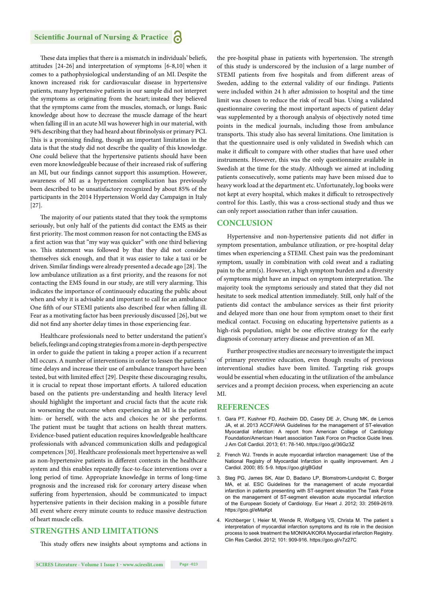These data implies that there is a mismatch in individuals' beliefs, attitudes [24-26] and interpretation of symptoms [6-8,10] when it comes to a pathophysiological understanding of an MI. Despite the known increased risk for cardiovascular disease in hypertensive patients, many hypertensive patients in our sample did not interpret the symptoms as originating from the heart; instead they believed that the symptoms came from the muscles, stomach, or lungs. Basic knowledge about how to decrease the muscle damage of the heart when falling ill in an acute MI was however high in our material, with 94% describing that they had heard about fibrinolysis or primary PCI. This is a promising finding, though an important limitation in the data is that the study did not describe the quality of this knowledge. One could believe that the hypertensive patients should have been even more knowledgeable because of their increased risk of suffering an MI, but our findings cannot support this assumption. However, awareness of MI as a hypertension complication has previously been described to be unsatisfactory recognized by about 85% of the participants in the 2014 Hypertension World day Campaign in Italy [27].

The majority of our patients stated that they took the symptoms seriously, but only half of the patients did contact the EMS as their first priority. The most common reason for not contacting the EMS as a first action was that "my way was quicker" with one third believing so. This statement was followed by that they did not consider themselves sick enough, and that it was easier to take a taxi or be driven. Similar findings were already presented a decade ago [28]. The low ambulance utilization as a first priority, and the reasons for not contacting the EMS found in our study, are still very alarming. This indicates the importance of continuously educating the public about when and why it is advisable and important to call for an ambulance One fifth of our STEMI patients also described fear when falling ill. Fear as a motivating factor has been previously discussed [26], but we did not find any shorter delay times in those experiencing fear.

Healthcare professionals need to better understand the patient's beliefs, feelings and coping strategies from a more in-depth perspective in order to guide the patient in taking a proper action if a recurrent MI occurs. A number of interventions in order to lessen the patients´ time delays and increase their use of ambulance transport have been tested, but with limited effect [29]. Despite these discouraging results, it is crucial to repeat those important efforts. A tailored education based on the patients pre-understanding and health literacy level should highlight the important and crucial facts that the acute risk in worsening the outcome when experiencing an MI is the patient him- or herself, with the acts and choices he or she performs. The patient must be taught that actions on health threat matters. Evidence-based patient education requires knowledgeable healthcare professionals with advanced communication skills and pedagogical competences [30]. Healthcare professionals meet hypertensive as well as non-hypertensive patients in different contexts in the healthcare system and this enables repeatedly face-to-face interventions over a long period of time. Appropriate knowledge in terms of long-time prognosis and the increased risk for coronary artery disease when suffering from hypertension, should be communicated to impact hypertensive patients in their decision making in a possible future MI event where every minute counts to reduce massive destruction of heart muscle cells.

# **STRENGTHS AND LIMITATIONS**

This study offers new insights about symptoms and actions in

the pre-hospital phase in patients with hypertension. The strength of this study is underscored by the inclusion of a large number of STEMI patients from five hospitals and from different areas of Sweden, adding to the external validity of our findings. Patients were included within 24 h after admission to hospital and the time limit was chosen to reduce the risk of recall bias. Using a validated questionnaire covering the most important aspects of patient delay was supplemented by a thorough analysis of objectively noted time points in the medical journals, including those from ambulance transports. This study also has several limitations. One limitation is that the questionnaire used is only validated in Swedish which can make it difficult to compare with other studies that have used other instruments. However, this was the only questionnaire available in Swedish at the time for the study. Although we aimed at including patients consecutively, some patients may have been missed due to heavy work load at the department etc. Unfortunately, log books were not kept at every hospital, which makes it difficult to retrospectively control for this. Lastly, this was a cross-sectional study and thus we can only report association rather than infer causation.

## **CONCLUSION**

Hypertensive and non-hypertensive patients did not differ in symptom presentation, ambulance utilization, or pre-hospital delay times when experiencing a STEMI. Chest pain was the predominant symptom, usually in combination with cold sweat and a radiating pain to the arm(s). However, a high symptom burden and a diversity of symptoms might have an impact on symptom interpretation. The majority took the symptoms seriously and stated that they did not hesitate to seek medical attention immediately. Still, only half of the patients did contact the ambulance services as their first priority and delayed more than one hour from symptom onset to their first medical contact. Focusing on educating hypertensive patients as a high-risk population, might be one effective strategy for the early diagnosis of coronary artery disease and prevention of an MI.

Further prospective studies are necessary to investigate the impact of primary preventive education, even though results of previous interventional studies have been limited. Targeting risk groups would be essential when educating in the utilization of the ambulance services and a prompt decision process, when experiencing an acute MI.

# **REFERENCES**

- 1. Gara PT, Kushner FD, Ascheim DD, Casey DE Jr, Chung MK, de Lemos JA, et al. 2013 ACCF/AHA Guidelines for the management of ST-elevation Myocardial infarction: A report from American College of Cardiology Foundation/American Heart association Task Force on Practice Guide lines. J Am Coll Cardiol. 2013; 61: 78-140. https://goo.gl/36Gz3Z
- 2. French WJ. Trends in acute myocardial infarction management: Use of the National Registry of Myocardial Infarction in quality improvement. Am J Cardiol. 2000; 85: 5-9. https://goo.gl/gBGdsf
- 3. Steg PG, James SK, Atar D, Badano LP, Blomstrom-Lundqvist C, Borger MA, et al. ESC Guidelines for the management of acute myocardial infarction in patients presenting with ST-segment elevation The Task Force on the management of ST-segment elevation acute myocardial infarction of the European Society of Cardiology. Eur Heart J. 2012; 33: 2569-2619. https://goo.gl/eMaKpt
- 4. Kirchberger I, Heier M, Wende R, Wolfgang VS, Christa M. The patient s interpretation of myocardial infarction symptoms and its role in the decision process to seek treatment the MONIKA/KORA Myocardial infarction Registry. Clin Res Cardiol. 2012; 101: 909-916. https://goo.gl/v7z27C